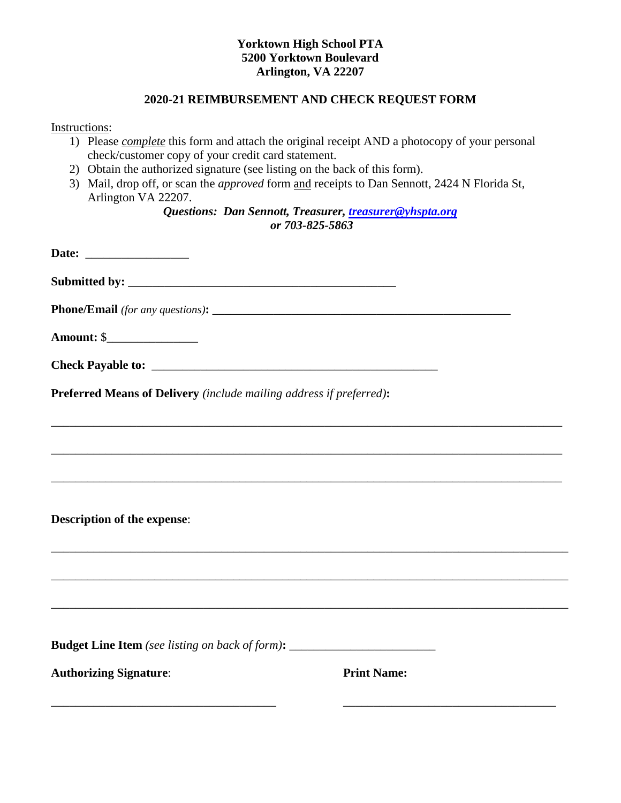## **Yorktown High School PTA 5200 Yorktown Boulevard Arlington, VA 22207**

## **2020-21 REIMBURSEMENT AND CHECK REQUEST FORM**

Instructions:

- 1) Please *complete* this form and attach the original receipt AND a photocopy of your personal check/customer copy of your credit card statement.
- 2) Obtain the authorized signature (see listing on the back of this form).
- 3) Mail, drop off, or scan the *approved* form and receipts to Dan Sennott, 2424 N Florida St, Arlington VA 22207.

*Questions: Dan Sennott, Treasurer, [treasurer@yhspta.org](mailto:treasurer@yhspta.org) or 703-825-5863*

| Preferred Means of Delivery (include mailing address if preferred):                    |                    |  |
|----------------------------------------------------------------------------------------|--------------------|--|
|                                                                                        |                    |  |
|                                                                                        |                    |  |
|                                                                                        |                    |  |
|                                                                                        |                    |  |
| <b>Description of the expense:</b>                                                     |                    |  |
|                                                                                        |                    |  |
|                                                                                        |                    |  |
|                                                                                        |                    |  |
| <b>Budget Line Item</b> (see listing on back of form): _______________________________ |                    |  |
| <b>Authorizing Signature:</b>                                                          | <b>Print Name:</b> |  |
|                                                                                        |                    |  |